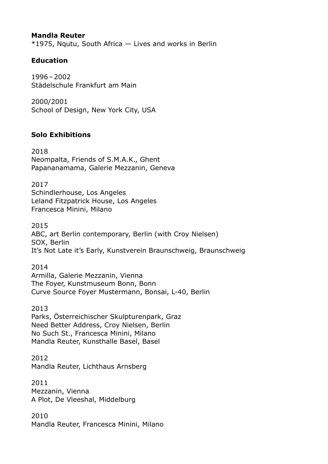#### **Mandla Reuter**

 $*1975$ , Nqutu, South Africa  $-$  Lives and works in Berlin

### **Education**

1996–2002 Städelschule Frankfurt am Main

2000/2001 School of Design, New York City, USA

### **Solo Exhibitions**

2018 Neompalta, Friends of S.M.A.K., Ghent Papananamama, Galerie Mezzanin, Geneva

2017 Schindlerhouse, Los Angeles Leland Fitzpatrick House, Los Angeles Francesca Minini, Milano

2015 ABC, art Berlin contemporary, Berlin (with Croy Nielsen) SOX, Berlin It's Not Late it's Early, Kunstverein Braunschweig, Braunschweig

2014 Armilla, Galerie Mezzanin, Vienna The Foyer, Kunstmuseum Bonn, Bonn Curve Source Foyer Mustermann, Bonsai, L-40, Berlin

2013 Parks, Österreichischer Skulpturenpark, Graz [Need Better Address, Croy Nielsen, Berlin](https://croynielsen.com/exhibitions/mandla-reuter-need-better-address/) No Such St., Francesca Minini, Milano Mandla Reuter, Kunsthalle Basel, Basel

2012 Mandla Reuter, Lichthaus Arnsberg

2011 Mezzanin, Vienna A Plot, De Vleeshal, Middelburg

2010 Mandla Reuter, Francesca Minini, Milano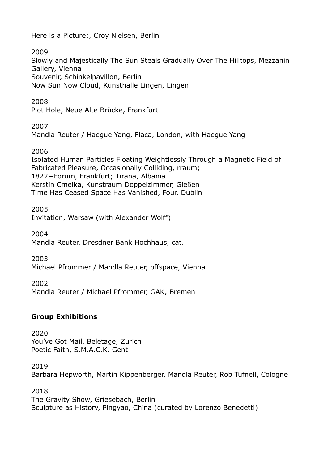Here is a Picture:, Croy Nielsen, Berlin

2009

Slowly and Majestically The Sun Steals Gradually Over The Hilltops, Mezzanin Gallery, Vienna Souvenir, Schinkelpavillon, Berlin Now Sun Now Cloud, Kunsthalle Lingen, Lingen

2008

Plot Hole, Neue Alte Brücke, Frankfurt

2007

Mandla Reuter / Haegue Yang, Flaca, London, with Haegue Yang

2006

Isolated Human Particles Floating Weightlessly Through a Magnetic Field of Fabricated Pleasure, Occasionally Colliding, rraum; 1822–Forum, Frankfurt; Tirana, Albania Kerstin Cmelka, Kunstraum Doppelzimmer, Gießen Time Has Ceased Space Has Vanished, Four, Dublin

2005 Invitation, Warsaw (with Alexander Wolff)

2004 Mandla Reuter, Dresdner Bank Hochhaus, cat.

2003 Michael Pfrommer / Mandla Reuter, offspace, Vienna

2002 Mandla Reuter / Michael Pfrommer, GAK, Bremen

# **Group Exhibitions**

2020 You've Got Mail, Beletage, Zurich Poetic Faith, S.M.A.C.K. Gent

2019 Barbara Hepworth, Martin Kippenberger, Mandla Reuter, Rob Tufnell, Cologne

2018 The Gravity Show, Griesebach, Berlin Sculpture as History, Pingyao, China (curated by Lorenzo Benedetti)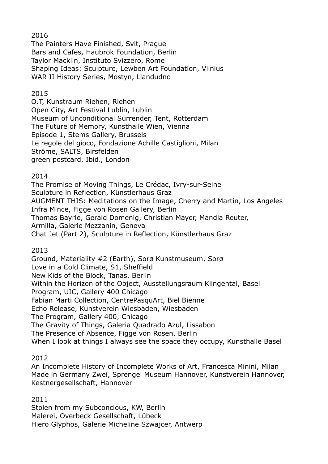### 2016

The Painters Have Finished, Svit, Prague Bars and Cafes, Haubrok Foundation, Berlin Taylor Macklin, Instituto Svizzero, Rome Shaping Ideas: Sculpture, Lewben Art Foundation, Vilnius WAR II History Series, Mostyn, Llandudno

## 2015

O.T, Kunstraum Riehen, Riehen Open City, Art Festival Lublin, Lublin Museum of Unconditional Surrender, Tent, Rotterdam The Future of Memory, Kunsthalle Wien, Vienna Episode 1, Stems Gallery, Brussels Le regole del gioco, Fondazione Achille Castiglioni, Milan Ströme, SALTS, Birsfelden green postcard, Ibid., London

# 2014

The Promise of Moving Things, Le Crédac, Ivry-sur-Seine Sculpture in Reflection, Künstlerhaus Graz AUGMENT THIS: Meditations on the Image, Cherry and Martin, Los Angeles Infra Mince, Figge von Rosen Gallery, Berlin Thomas Bayrle, Gerald Domenig, Christian Mayer, Mandla Reuter, Armilla, Galerie Mezzanin, Geneva Chat Jet (Part 2), Sculpture in Reflection, Künstlerhaus Graz

# 2013

Ground, Materiality #2 (Earth), Sorø Kunstmuseum, Sorø Love in a Cold Climate, S1, Sheffield New Kids of the Block, Tanas, Berlin Within the Horizon of the Object, Ausstellungsraum Klingental, Basel Program, UIC, Gallery 400 Chicago Fabian Marti Collection, CentrePasquArt, Biel Bienne Echo Release, Kunstverein Wiesbaden, Wiesbaden The Program, Gallery 400, Chicago The Gravity of Things, Galeria Quadrado Azul, Lissabon The Presence of Absence, Figge von Rosen, Berlin When I look at things I always see the space they occupy, Kunsthalle Basel

# 2012

An Incomplete History of Incomplete Works of Art, Francesca Minini, Milan Made in Germany Zwei, Sprengel Museum Hannover, Kunstverein Hannover, Kestnergesellschaft, Hannover

2011 Stolen from my Subconcious, KW, Berlin Malerei, Overbeck Gesellschaft, Lübeck Hiero Glyphos, Galerie Micheline Szwajcer, Antwerp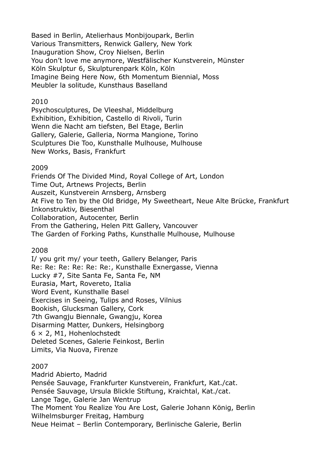Based in Berlin, Atelierhaus Monbijoupark, Berlin Various Transmitters, Renwick Gallery, New York Inauguration Show, Croy Nielsen, Berlin You don't love me anymore, Westfälischer Kunstverein, Münster Köln Skulptur 6, Skulpturenpark Köln, Köln Imagine Being Here Now, 6th Momentum Biennial, Moss Meubler la solitude, Kunsthaus Baselland

#### 2010

Psychosculptures, De Vleeshal, Middelburg Exhibition, Exhibition, Castello di Rivoli, Turin Wenn die Nacht am tiefsten, Bel Etage, Berlin Gallery, Galerie, Galleria, Norma Mangione, Torino Sculptures Die Too, Kunsthalle Mulhouse, Mulhouse New Works, Basis, Frankfurt

#### 2009

Friends Of The Divided Mind, Royal College of Art, London Time Out, Artnews Projects, Berlin Auszeit, Kunstverein Arnsberg, Arnsberg At Five to Ten by the Old Bridge, My Sweetheart, Neue Alte Brücke, Frankfurt Inkonstruktiv, Biesenthal Collaboration, Autocenter, Berlin From the Gathering, Helen Pitt Gallery, Vancouver The Garden of Forking Paths, Kunsthalle Mulhouse, Mulhouse

#### 2008

I/ you grit my/ your teeth, Gallery Belanger, Paris Re: Re: Re: Re: Re: Re:, Kunsthalle Exnergasse, Vienna Lucky #7, Site Santa Fe, Santa Fe, NM Eurasia, Mart, Rovereto, Italia Word Event, Kunsthalle Basel Exercises in Seeing, Tulips and Roses, Vilnius Bookish, Glucksman Gallery, Cork 7th Gwangju Biennale, Gwangju, Korea Disarming Matter, Dunkers, Helsingborg 6 × 2, M1, Hohenlochstedt Deleted Scenes, Galerie Feinkost, Berlin Limits, Via Nuova, Firenze

#### 2007

Madrid Abierto, Madrid Pensée Sauvage, Frankfurter Kunstverein, Frankfurt, Kat./cat. Pensée Sauvage, Ursula Blickle Stiftung, Kraichtal, Kat./cat. Lange Tage, Galerie Jan Wentrup The Moment You Realize You Are Lost, Galerie Johann König, Berlin Wilhelmsburger Freitag, Hamburg Neue Heimat – Berlin Contemporary, Berlinische Galerie, Berlin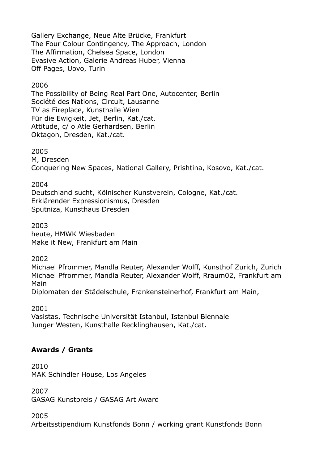Gallery Exchange, Neue Alte Brücke, Frankfurt The Four Colour Contingency, The Approach, London The Affirmation, Chelsea Space, London Evasive Action, Galerie Andreas Huber, Vienna Off Pages, Uovo, Turin

#### 2006

The Possibility of Being Real Part One, Autocenter, Berlin Société des Nations, Circuit, Lausanne TV as Fireplace, Kunsthalle Wien Für die Ewigkeit, Jet, Berlin, Kat./cat. Attitude, c/ o Atle Gerhardsen, Berlin Oktagon, Dresden, Kat./cat.

#### 2005

M, Dresden Conquering New Spaces, National Gallery, Prishtina, Kosovo, Kat./cat.

#### 2004

Deutschland sucht, Kölnischer Kunstverein, Cologne, Kat./cat. Erklärender Expressionismus, Dresden Sputniza, Kunsthaus Dresden

#### 2003

heute, HMWK Wiesbaden Make it New, Frankfurt am Main

#### 2002

Michael Pfrommer, Mandla Reuter, Alexander Wolff, Kunsthof Zurich, Zurich Michael Pfrommer, Mandla Reuter, Alexander Wolff, Rraum02, Frankfurt am Main

Diplomaten der Städelschule, Frankensteinerhof, Frankfurt am Main,

2001

Vasistas, Technische Universität Istanbul, Istanbul Biennale Junger Westen, Kunsthalle Recklinghausen, Kat./cat.

## **Awards / Grants**

2010 MAK Schindler House, Los Angeles

2007

GASAG Kunstpreis / GASAG Art Award

2005

Arbeitsstipendium Kunstfonds Bonn / working grant Kunstfonds Bonn